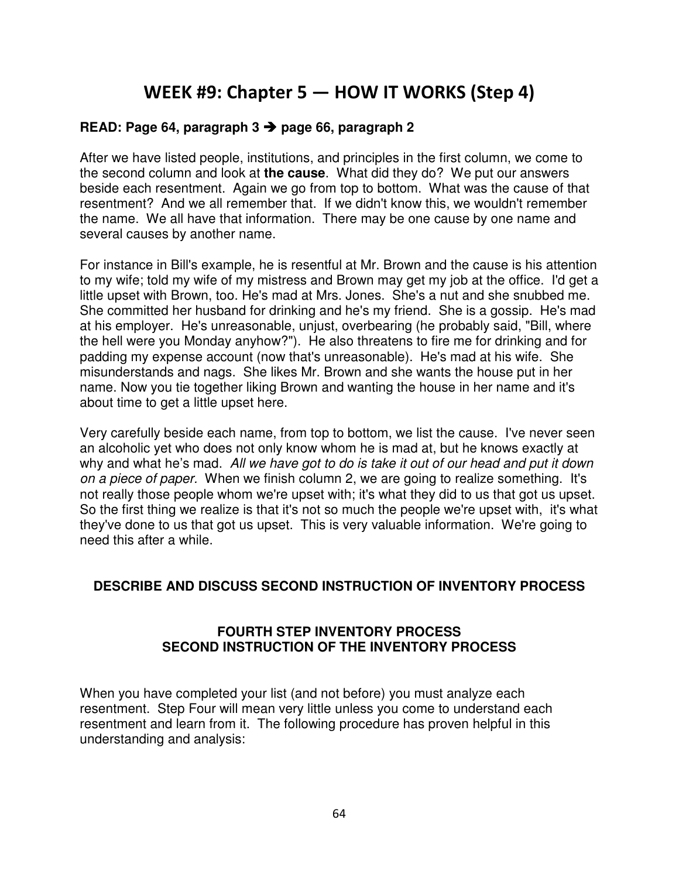# WEEK #9: Chapter 5 — HOW IT WORKS (Step 4)

# **READ: Page 64, paragraph 3 page 66, paragraph 2**

After we have listed people, institutions, and principles in the first column, we come to the second column and look at **the cause**. What did they do? We put our answers beside each resentment. Again we go from top to bottom. What was the cause of that resentment? And we all remember that. If we didn't know this, we wouldn't remember the name. We all have that information. There may be one cause by one name and several causes by another name.

For instance in Bill's example, he is resentful at Mr. Brown and the cause is his attention to my wife; told my wife of my mistress and Brown may get my job at the office. I'd get a little upset with Brown, too. He's mad at Mrs. Jones. She's a nut and she snubbed me. She committed her husband for drinking and he's my friend. She is a gossip. He's mad at his employer. He's unreasonable, unjust, overbearing (he probably said, "Bill, where the hell were you Monday anyhow?"). He also threatens to fire me for drinking and for padding my expense account (now that's unreasonable). He's mad at his wife. She misunderstands and nags. She likes Mr. Brown and she wants the house put in her name. Now you tie together liking Brown and wanting the house in her name and it's about time to get a little upset here.

Very carefully beside each name, from top to bottom, we list the cause. I've never seen an alcoholic yet who does not only know whom he is mad at, but he knows exactly at why and what he's mad. All we have got to do is take it out of our head and put it down on a piece of paper. When we finish column 2, we are going to realize something. It's not really those people whom we're upset with; it's what they did to us that got us upset. So the first thing we realize is that it's not so much the people we're upset with, it's what they've done to us that got us upset. This is very valuable information. We're going to need this after a while.

### **DESCRIBE AND DISCUSS SECOND INSTRUCTION OF INVENTORY PROCESS**

# **FOURTH STEP INVENTORY PROCESS SECOND INSTRUCTION OF THE INVENTORY PROCESS**

When you have completed your list (and not before) you must analyze each resentment. Step Four will mean very little unless you come to understand each resentment and learn from it. The following procedure has proven helpful in this understanding and analysis: